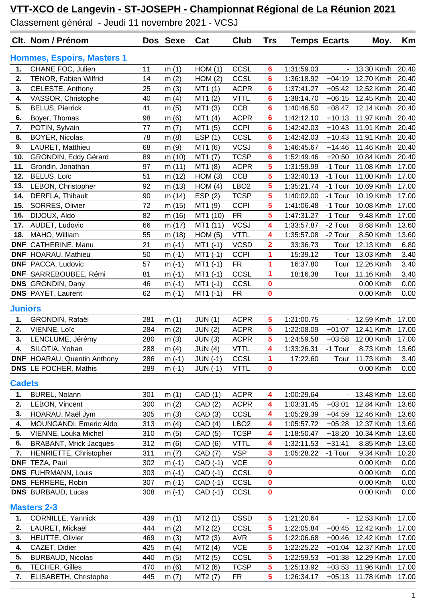Classement général - Jeudi 11 novembre 2021 - VCSJ

|                | Clt. Nom / Prénom                  |     | Dos Sexe | Cat            | Club             | <b>Trs</b>              | <b>Temps Ecarts</b> |                | Moy.              | Km    |
|----------------|------------------------------------|-----|----------|----------------|------------------|-------------------------|---------------------|----------------|-------------------|-------|
|                | <b>Hommes, Espoirs, Masters 1</b>  |     |          |                |                  |                         |                     |                |                   |       |
| 1.             | CHANE FOC, Julien                  | 11  | m(1)     | HOM(1)         | CCSL             | 6                       | 1:31:59.03          | $\blacksquare$ | 13.30 Km/h        | 20.40 |
| 2.             | TENOR, Fabien Wilfrid              | 14  | m(2)     | HOM(2)         | CCSL             | 6                       | 1:36:18.92          |                | +04:19 12.70 Km/h | 20.40 |
| 3.             | CELESTE, Anthony                   | 25  | m(3)     | MT1(1)         | <b>ACPR</b>      | 6                       | 1:37:41.27          | $+05:42$       | 12.52 Km/h        | 20.40 |
| 4.             | VASSOR, Christophe                 | 40  | m $(4)$  | MT1(2)         | <b>VTTL</b>      | 6                       | 1:38:14.70          | $+06:15$       | 12.45 Km/h        | 20.40 |
| 5.             | <b>BELUS, Pierrick</b>             | 41  | m(5)     | MT1 (3)        | <b>CCB</b>       | 6                       | 1:40:46.50          | $+08:47$       | 12.14 Km/h        | 20.40 |
| 6.             | Boyer, Thomas                      | 98  | m(6)     | MT1 (4)        | <b>ACPR</b>      | 6                       | 1:42:12.10          | $+10:13$       | 11.97 Km/h        | 20.40 |
| 7.             | POTIN, Sylvain                     | 77  | m(7)     | MT1 (5)        | <b>CCPI</b>      | 6                       | 1:42:42.03          | $+10:43$       | 11.91 Km/h        | 20.40 |
| 8.             | <b>BOYER, Nicolas</b>              | 78  | m(8)     | ESP(1)         | CCSL             | 6                       | 1:42:42.03          | $+10:43$       | 11.91 Km/h        | 20.40 |
| 9.             | LAURET, Matthieu                   | 68  | m(9)     | MT1 (6)        | <b>VCSJ</b>      | 6                       | 1:46:45.67          | $+14:46$       | 11.46 Km/h        | 20.40 |
| 10.            | GRONDIN, Eddy Gérard               | 89  | m (10)   | MT1 (7)        | <b>TCSP</b>      | 6                       | 1:52:49.46          | $+20:50$       | 10.84 Km/h        | 20.40 |
| 11.            | Grondin, Jonathan                  | 97  | m (11)   | MT1 (8)        | <b>ACPR</b>      | 5                       | 1:31:59.99          | -1 Tour        | 11.08 Km/h        | 17.00 |
| 12.            | <b>BELUS, Loïc</b>                 | 51  | m (12)   | HOM(3)         | CCB              | 5                       | 1:32:40.13          | -1 Tour        | 11.00 Km/h        | 17.00 |
| 13.            | LEBON, Christopher                 | 92  | m (13)   | HOM(4)         | LBO <sub>2</sub> | 5                       | 1:35:21.74          | -1 Tour        | 10.69 Km/h        | 17.00 |
| 14.            | DERFLA, Thibault                   | 90  | m (14)   | ESP(2)         | <b>TCSP</b>      | 5                       | 1:40:02.00          | -1 Tour        | 10.19 Km/h        | 17.00 |
| 15.            | SORRES, Olivier                    | 72  | m (15)   | MT1 (9)        | <b>CCPI</b>      | 5                       | 1:41:06.48          | -1 Tour        | 10.08 Km/h        | 17.00 |
| 16.            | DIJOUX, Aldo                       | 82  | m (16)   | MT1 (10)       | <b>FR</b>        | 5                       | 1:47:31.27          | -1 Tour        | 9.48 Km/h         | 17.00 |
| 17.            | AUDET, Ludovic                     | 66  | m (17)   | MT1 (11)       | <b>VCSJ</b>      | 4                       | 1:33:57.87          | -2 Tour        | 8.68 Km/h         | 13.60 |
| 18.            | MAHO, William                      | 55  | m (18)   | HOM(5)         | <b>VTTL</b>      | 4                       | 1:35:57.08          | -2 Tour        | 8.50 Km/h         | 13.60 |
| <b>DNF</b>     | CATHERINE, Manu                    | 21  | $m(-1)$  | $MT1(-1)$      | <b>VCSD</b>      | 2                       | 33:36.73            | Tour           | 12.13 Km/h        | 6.80  |
| <b>DNF</b>     | HOARAU, Mathieu                    | 50  | $m(-1)$  | $MT1(-1)$      | <b>CCPI</b>      | 1                       | 15:39.12            | Tour           | 13.03 Km/h        | 3.40  |
| <b>DNF</b>     | PACCA, Ludovic                     | 57  | $m(-1)$  | $MT1(-1)$      | <b>FR</b>        | 1                       | 16:37.80            | Tour           | 12.26 Km/h        | 3.40  |
|                | DNF SARREBOUBEE, Rémi              | 81  | $m(-1)$  | $MT1$ (-1)     | CCSL             | 1                       | 18:16.38            | Tour           | 11.16 Km/h        | 3.40  |
|                | <b>DNS</b> GRONDIN, Dany           | 46  | $m(-1)$  | $MT1$ (-1)     | CCSL             | 0                       |                     |                | 0.00 Km/h         | 0.00  |
|                | <b>DNS</b> PAYET, Laurent          | 62  | $m(-1)$  | $MT1(-1)$      | <b>FR</b>        | $\mathbf 0$             |                     |                | 0.00 Km/h         | 0.00  |
| <b>Juniors</b> |                                    |     |          |                |                  |                         |                     |                |                   |       |
| 1.             | GRONDIN, Rafaël                    | 281 | m(1)     | JUN(1)         | <b>ACPR</b>      | 5                       | 1:21:00.75          |                | - 12.59 Km/h      | 17.00 |
| 2.             | VIENNE, Loïc                       | 284 | m(2)     | <b>JUN (2)</b> | <b>ACPR</b>      | 5                       | 1:22:08.09          | $+01:07$       | 12.41 Km/h        | 17.00 |
| 3.             | LENCLUME, Jérémy                   | 280 | m(3)     | JUN(3)         | <b>ACPR</b>      | 5                       | 1:24:59.58          | $+03:58$       | 12.00 Km/h        | 17.00 |
| 4.             | SILOTIA, Yohan                     | 288 | m(4)     | JUN(4)         | <b>VTTL</b>      | 4                       | 1:33:26.31          | -1 Tour        | 8.73 Km/h         | 13.60 |
|                | <b>DNF</b> HOARAU, Quentin Anthony | 286 | $m(-1)$  | $JUN$ (-1)     | CCSL             | 1                       | 17:22.60            | Tour           | 11.73 Km/h        | 3.40  |
|                | <b>DNS</b> LE POCHER, Mathis       | 289 | $m(-1)$  | $JUN$ (-1)     | <b>VTTL</b>      | 0                       |                     |                | 0.00 Km/h         | 0.00  |
| <b>Cadets</b>  |                                    |     |          |                |                  |                         |                     |                |                   |       |
| 1.             | BUREL, Nolann                      | 301 | m(1)     | CAD (1)        | <b>ACPR</b>      | 4                       | 1:00:29.64          | $\sim$         | 13.48 Km/h        | 13.60 |
| 2.             | LEBON, Vincent                     | 300 | m(2)     | CAD(2)         | <b>ACPR</b>      | 4                       | 1:03:31.45          | $+03:01$       | 12.84 Km/h        | 13.60 |
| 3.             | HOARAU, Maël Jym                   | 305 | m(3)     | CAD (3)        | CCSL             | 4                       | 1:05:29.39          | $+04:59$       | 12.46 Km/h        | 13.60 |
| 4.             | MOUNGANDI, Emeric Aldo             | 313 | m $(4)$  | CAD(4)         | LBO <sub>2</sub> | 4                       | 1:05:57.72          | $+05:28$       | 12.37 Km/h        | 13.60 |
| 5.             | VIENNE, Louka Michel               | 310 | m(5)     | CAD (5)        | <b>TCSP</b>      | 4                       | 1:18:50.47          | $+18:20$       | 10.34 Km/h        | 13.60 |
| 6.             | <b>BRABANT, Mrick Jacques</b>      | 312 | m(6)     | CAD (6)        | <b>VTTL</b>      | 4                       | 1:32:11.53          | $+31:41$       | 8.85 Km/h         | 13.60 |
| 7.             | HENRIETTE, Christopher             | 311 | m(7)     | CAD (7)        | <b>VSP</b>       | 3                       | 1:05:28.22          | -1 Tour        | 9.34 Km/h         | 10.20 |
|                | DNF TEZA, Paul                     | 302 | $m(-1)$  | CAD (-1)       | <b>VCE</b>       | 0                       |                     |                | 0.00 Km/h         | 0.00  |
|                | <b>DNS</b> FUHRMANN, Louis         | 303 | $m(-1)$  | CAD (-1)       | CCSL             | 0                       |                     |                | 0.00 Km/h         | 0.00  |
|                | <b>DNS</b> FERRERE, Robin          | 307 | $m(-1)$  | CAD (-1)       | <b>CCSL</b>      | $\mathbf 0$             |                     |                | 0.00 Km/h         | 0.00  |
|                | <b>DNS</b> BURBAUD, Lucas          | 308 | $m(-1)$  | CAD (-1)       | CCSL             | 0                       |                     |                | 0.00 Km/h         | 0.00  |
|                | <b>Masters 2-3</b>                 |     |          |                |                  |                         |                     |                |                   |       |
| 1.             | CORNILLE, Yannick                  | 439 | m(1)     | MT2(1)         | <b>CSSD</b>      | 5                       | 1:21:20.64          |                | - 12.53 Km/h      | 17.00 |
| 2.             | LAURET, Mickaël                    | 444 | m(2)     | MT2 (2)        | CCSL             | 5                       | 1:22:05.84          | $+00:45$       | 12.42 Km/h        | 17.00 |
| 3.             | HEUTTE, Olivier                    | 469 | m(3)     | MT2 (3)        | <b>AVR</b>       | 5                       | 1:22:06.68          | $+00:46$       | 12.42 Km/h        | 17.00 |
| 4.             | CAZET, Didier                      | 425 | m $(4)$  | MT2(4)         | <b>VCE</b>       | 5                       | 1:22:25.22          | $+01:04$       | 12.37 Km/h        | 17.00 |
| 5.             | <b>BURBAUD, Nicolas</b>            | 440 | m(5)     | MT2 (5)        | CCSL             | 5                       | 1:22:59.53          | $+01:38$       | 12.29 Km/h        | 17.00 |
| 6.             | <b>TECHER, Gilles</b>              | 470 | m(6)     | MT2 (6)        | <b>TCSP</b>      | 5                       | 1:25:13.92          | $+03:53$       | 11.96 Km/h        | 17.00 |
| 7.             | ELISABETH, Christophe              | 445 | m $(7)$  | MT2 (7)        | <b>FR</b>        | $\overline{\mathbf{5}}$ | 1:26:34.17          | $+05:13$       | 11.78 Km/h        | 17.00 |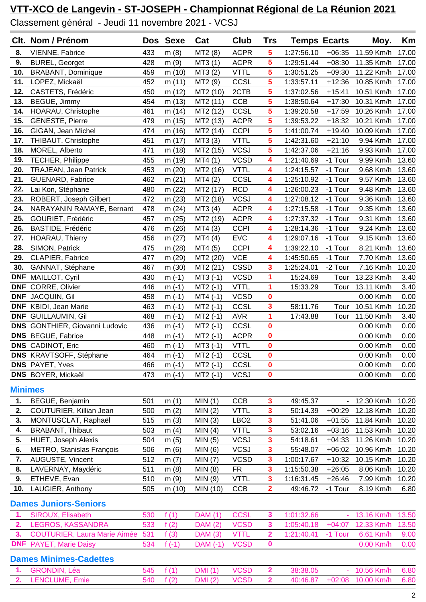Classement général - Jeudi 11 novembre 2021 - VCSJ

|                | Clt. Nom / Prénom                     |     | Dos Sexe | Cat            | Club             | <b>Trs</b>              | <b>Temps Ecarts</b> |          | Moy.       | Km    |
|----------------|---------------------------------------|-----|----------|----------------|------------------|-------------------------|---------------------|----------|------------|-------|
| 8.             | VIENNE, Fabrice                       | 433 | m(8)     | MT2 (8)        | <b>ACPR</b>      | 5                       | 1:27:56.10          | $+06:35$ | 11.59 Km/h | 17.00 |
| 9.             | <b>BUREL, Georget</b>                 | 428 | m(9)     | MT3 (1)        | <b>ACPR</b>      | 5                       | 1:29:51.44          | $+08:30$ | 11.35 Km/h | 17.00 |
| 10.            | <b>BRABANT, Dominique</b>             | 459 | m (10)   | MT3(2)         | <b>VTTL</b>      | 5                       | 1:30:51.25          | $+09:30$ | 11.22 Km/h | 17.00 |
| 11.            | LOPEZ, Mickaël                        | 452 | m(11)    | MT2 (9)        | CCSL             | 5                       | 1:33:57.11          | $+12:36$ | 10.85 Km/h | 17.00 |
| 12.            | CASTETS, Frédéric                     | 450 | m(12)    | MT2 (10)       | 2CTB             | 5                       | 1:37:02.56          | $+15:41$ | 10.51 Km/h | 17.00 |
| 13.            | BEGUE, Jimmy                          | 454 | m(13)    | MT2 (11)       | <b>CCB</b>       | 5                       | 1:38:50.64          | $+17:30$ | 10.31 Km/h | 17.00 |
| 14.            | HOARAU, Christophe                    | 461 | m (14)   | MT2 (12)       | CCSL             | 5                       | 1:39:20.58          | $+17:59$ | 10.26 Km/h | 17.00 |
| 15.            | <b>GENESTE, Pierre</b>                | 479 | m (15)   | MT2 (13)       | <b>ACPR</b>      | 5                       | 1:39:53.22          | $+18:32$ | 10.21 Km/h | 17.00 |
| 16.            | GIGAN, Jean Michel                    | 474 | m (16)   | MT2 (14)       | <b>CCPI</b>      | 5                       | 1:41:00.74          | $+19:40$ | 10.09 Km/h | 17.00 |
| 17.            | THIBAUT, Christophe                   | 451 | m (17)   | MT3 (3)        | <b>VTTL</b>      | 5                       | 1:42:31.60          | $+21:10$ | 9.94 Km/h  | 17.00 |
| 18.            | MOREL, Alberto                        | 471 | m (18)   | MT2 (15)       | <b>VCSJ</b>      | 5                       | 1:42:37.06          | $+21:16$ | 9.93 Km/h  | 17.00 |
| 19.            | TECHER, Philippe                      | 455 | m (19)   | MT4 (1)        | <b>VCSD</b>      | 4                       | 1:21:40.69          | -1 Tour  | 9.99 Km/h  | 13.60 |
| 20.            | TRAJEAN, Jean Patrick                 | 453 | m (20)   | MT2 (16)       | <b>VTTL</b>      | 4                       | 1:24:15.57          | -1 Tour  | 9.68 Km/h  | 13.60 |
| 21.            | <b>GUENARD, Fabrice</b>               | 462 | m(21)    | MT4(2)         | CCSL             | 4                       | 1:25:10.92          | -1 Tour  | 9.57 Km/h  | 13.60 |
| 22.            | Lai Kon, Stéphane                     | 480 | m (22)   | MT2 (17)       | <b>RCD</b>       | 4                       | 1:26:00.23          | -1 Tour  | 9.48 Km/h  | 13.60 |
| 23.            | ROBERT, Joseph Gilbert                | 472 | m(23)    | MT2 (18)       | <b>VCSJ</b>      | 4                       | 1:27:08.12          | -1 Tour  | 9.36 Km/h  | 13.60 |
| 24.            | NARAYANIN RAMAYE, Bernard             | 478 | m(24)    | MT3 (4)        | <b>ACPR</b>      | 4                       | 1:27:15.58          | -1 Tour  | 9.35 Km/h  | 13.60 |
| 25.            | GOURIET, Frédéric                     | 457 | m (25)   | MT2 (19)       | <b>ACPR</b>      | 4                       | 1:27:37.32          | -1 Tour  | 9.31 Km/h  | 13.60 |
| 26.            | BASTIDE, Frédéric                     | 476 | m (26)   | MT4(3)         | <b>CCPI</b>      | 4                       | 1:28:14.36          | -1 Tour  | 9.24 Km/h  | 13.60 |
| 27.            | HOARAU, Thierry                       | 456 | m(27)    | MT4(4)         | <b>EVC</b>       | 4                       | 1:29:07.16          | -1 Tour  | 9.15 Km/h  | 13.60 |
| 28.            | SIMON, Patrick                        | 475 | m (28)   | MT4 (5)        | <b>CCPI</b>      | 4                       | 1:39:22.10          | -1 Tour  | 8.21 Km/h  | 13.60 |
| 29.            | CLAPIER, Fabrice                      | 477 | m (29)   | MT2 (20)       | <b>VCE</b>       | 4                       | 1:45:50.65          | -1 Tour  | 7.70 Km/h  | 13.60 |
| 30.            | GANNAT, Stéphane                      | 467 | m (30)   | MT2 (21)       | <b>CSSD</b>      | 3                       | 1:25:24.01          | -2 Tour  | 7.16 Km/h  | 10.20 |
| <b>DNF</b>     | MAILLOT, Cyril                        | 430 | $m(-1)$  | $MT3$ (-1)     | <b>VCSD</b>      | 1                       | 15:24.69            | Tour     | 13.23 Km/h | 3.40  |
| <b>DNF</b>     | CORRE, Olivier                        | 446 | $m(-1)$  | $MT2$ (-1)     | <b>VTTL</b>      | 1                       | 15:33.29            | Tour     | 13.11 Km/h | 3.40  |
| <b>DNF</b>     | JACQUIN, Gil                          | 458 | $m(-1)$  | $MT4$ (-1)     | <b>VCSD</b>      | $\mathbf 0$             |                     |          | 0.00 Km/h  | 0.00  |
| <b>DNF</b>     | KBIDI, Jean Marie                     | 463 | $m(-1)$  | $MT2(-1)$      | CCSL             | 3                       | 58:11.76            | Tour     | 10.51 Km/h | 10.20 |
|                | <b>DNF</b> GUILLAUMIN, Gil            | 468 | $m(-1)$  | $MT2$ (-1)     | <b>AVR</b>       | 1                       | 17:43.88            | Tour     | 11.50 Km/h | 3.40  |
|                | <b>DNS</b> GONTHIER, Giovanni Ludovic | 436 | $m(-1)$  | $MT2$ (-1)     | CCSL             | $\mathbf 0$             |                     |          | 0.00 Km/h  | 0.00  |
|                | <b>DNS</b> BEGUE, Fabrice             | 448 | $m(-1)$  | $MT2$ (-1)     | <b>ACPR</b>      | $\mathbf 0$             |                     |          | 0.00 Km/h  | 0.00  |
|                | <b>DNS</b> CADINOT, Eric              | 460 | $m(-1)$  | $MT3$ (-1)     | <b>VTTL</b>      | $\mathbf 0$             |                     |          | 0.00 Km/h  | 0.00  |
|                | DNS KRAVTSOFF, Stéphane               | 464 | $m(-1)$  | $MT2(-1)$      | CCSL             | $\mathbf 0$             |                     |          | 0.00 Km/h  | 0.00  |
|                | <b>DNS</b> PAYET, Yves                | 466 | $m(-1)$  | $MT2$ (-1)     | CCSL             | $\mathbf 0$             |                     |          | 0.00 Km/h  | 0.00  |
|                | DNS BOYER, Mickaël                    | 473 | $m(-1)$  | $MT2(-1)$      | <b>VCSJ</b>      | $\mathbf 0$             |                     |          | 0.00 Km/h  | 0.00  |
| <b>Minimes</b> |                                       |     |          |                |                  |                         |                     |          |            |       |
| 1.             | BEGUE, Benjamin                       | 501 | m(1)     | MIN(1)         | <b>CCB</b>       | 3                       | 49:45.37            |          | 12.30 Km/h | 10.20 |
| 2.             | COUTURIER, Killian Jean               | 500 | m(2)     | MIN(2)         | <b>VTTL</b>      | 3                       | 50:14.39            | $+00:29$ | 12.18 Km/h | 10.20 |
| 3.             | MONTUSCLAT, Raphaël                   | 515 | m(3)     | MIN(3)         | LBO <sub>2</sub> | $\overline{\mathbf{3}}$ | 51:41.06            | $+01:55$ | 11.84 Km/h | 10.20 |
| 4.             | <b>BRABANT, Thibaut</b>               | 503 | m $(4)$  | MIN(4)         | <b>VTTL</b>      | 3                       | 53:02.16            | $+03:16$ | 11.53 Km/h | 10.20 |
| 5.             | <b>HUET, Joseph Alexis</b>            | 504 | m(5)     | MIN(5)         | <b>VCSJ</b>      | 3                       | 54:18.61            | $+04:33$ | 11.26 Km/h | 10.20 |
| 6.             | METRO, Stanislas François             | 506 | m(6)     | MIN(6)         | <b>VCSJ</b>      | 3                       | 55:48.07            | $+06:02$ | 10.96 Km/h | 10.20 |
| 7.             | AUGUSTE, Vincent                      | 512 | m(7)     | MIN(7)         | <b>VCSD</b>      | 3                       | 1:00:17.67          | $+10:32$ | 10.15 Km/h | 10.20 |
| 8.             | LAVERNAY, Maydéric                    | 511 | m(8)     | MIN(8)         | <b>FR</b>        | 3                       | 1:15:50.38          | $+26:05$ | 8.06 Km/h  | 10.20 |
| 9.             | ETHEVE, Evan                          | 510 | m(9)     | MIN (9)        | <b>VTTL</b>      | 3                       | 1:16:31.45          | $+26:46$ | 7.99 Km/h  | 10.20 |
| 10.            | LAUGIER, Anthony                      | 505 | m (10)   | MIN (10)       | <b>CCB</b>       | $\overline{2}$          | 49:46.72            | -1 Tour  | 8.19 Km/h  | 6.80  |
|                | <b>Dames Juniors-Seniors</b>          |     |          |                |                  |                         |                     |          |            |       |
| 1.             | SIROUX, Elisabeth                     | 530 | f(1)     | <b>DAM</b> (1) | <b>CCSL</b>      | $\mathbf{3}$            | 1:01:32.66          |          | 13.16 Km/h | 13.50 |
| 2.             | LEGROS, KASSANDRA                     | 533 | f(2)     | DAM (2)        | <b>VCSD</b>      | 3                       | 1:05:40.18          | $+04:07$ | 12.33 Km/h | 13.50 |
| 3.             | <b>COUTURIER, Laura Marie Aimée</b>   | 531 | f(3)     | <b>DAM (3)</b> | <b>VTTL</b>      | $\overline{2}$          | 1:21:40.41          | -1 Tour  | 6.61 Km/h  | 9.00  |
|                | <b>DNF</b> PAYET, Marie Daisy         | 534 | f $(-1)$ | DAM (-1)       | <b>VCSD</b>      | $\mathbf 0$             |                     |          | 0.00 Km/h  | 0.00  |
|                | <b>Dames Minimes-Cadettes</b>         |     |          |                |                  |                         |                     |          |            |       |
| 1.             | <b>GRONDIN, Léa</b>                   | 545 | f(1)     | DMI(1)         | <b>VCSD</b>      | $\overline{\mathbf{2}}$ | 38:38.05            |          | 10.56 Km/h | 6.80  |
| 2.             | LENCLUME, Emie                        | 540 | f(2)     | DMI(2)         | <b>VCSD</b>      | $\overline{2}$          | 40:46.87            | $+02:08$ | 10.00 Km/h | 6.80  |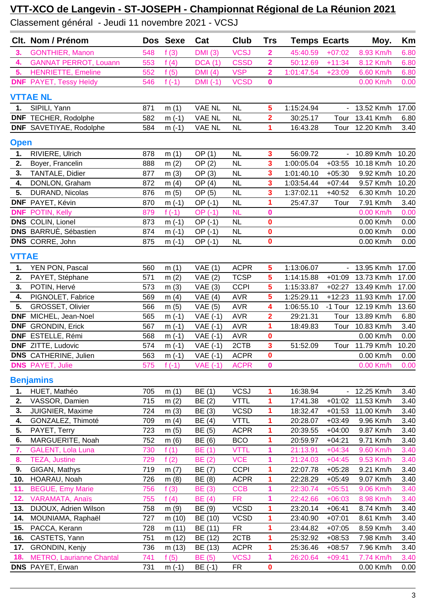Classement général - Jeudi 11 novembre 2021 - VCSJ

|              | Clt. Nom / Prénom               |     | Dos Sexe | Cat             | Club        | <b>Trs</b>              | <b>Temps Ecarts</b> |                          | Moy.            | Km    |
|--------------|---------------------------------|-----|----------|-----------------|-------------|-------------------------|---------------------|--------------------------|-----------------|-------|
| 3.           | <b>GONTHIER, Manon</b>          | 548 | f(3)     | <b>DMI</b> (3)  | <b>VCSJ</b> | $\mathbf 2$             | 45:40.59            | $+07:02$                 | 8.93 Km/h       | 6.80  |
| 4.           | <b>GANNAT PERROT, Louann</b>    | 553 | f(4)     | DCA(1)          | <b>CSSD</b> | $\overline{\mathbf{2}}$ | 50:12.69            | $+11:34$                 | 8.12 Km/h       | 6.80  |
| 5.           | <b>HENRIETTE, Emeline</b>       | 552 | f(5)     | DMI(4)          | <b>VSP</b>  | $\overline{\mathbf{2}}$ | 1:01:47.54          | $+23:09$                 | 6.60 Km/h       | 6.80  |
|              | <b>DNF</b> PAYET, Tessy Heïdy   | 546 | f $(-1)$ | $DMI(-1)$       | <b>VCSD</b> | $\mathbf 0$             |                     |                          | 0.00 Km/h       | 0.00  |
|              | <b>VTTAE NL</b>                 |     |          |                 |             |                         |                     |                          |                 |       |
| 1.           | SIPILI, Yann                    | 871 | m(1)     | VAE NL          | <b>NL</b>   | 5                       | 1:15:24.94          |                          | - 13.52 Km/h    | 17.00 |
|              | <b>DNF</b> TECHER, Rodolphe     | 582 | $m(-1)$  | <b>VAE NL</b>   | NL          | $\overline{\mathbf{2}}$ | 30:25.17            |                          | Tour 13.41 Km/h | 6.80  |
|              | <b>DNF</b> SAVETIYAE, Rodolphe  | 584 | $m(-1)$  | VAE NL          | <b>NL</b>   | 1                       | 16:43.28            |                          | Tour 12.20 Km/h | 3.40  |
| <b>Open</b>  |                                 |     |          |                 |             |                         |                     |                          |                 |       |
| 1.           | RIVIERE, Ulrich                 | 878 | m(1)     | OP(1)           | <b>NL</b>   | 3                       | 56:09.72            |                          | - 10.89 Km/h    | 10.20 |
| 2.           | Boyer, Francelin                | 888 | m(2)     | OP(2)           | NL          | 3                       | 1:00:05.04          | $+03:55$                 | 10.18 Km/h      | 10.20 |
| 3.           | <b>TANTALE, Didier</b>          | 877 | m(3)     | OP(3)           | <b>NL</b>   | $\overline{\mathbf{3}}$ | 1:01:40.10          | $+05:30$                 | 9.92 Km/h       | 10.20 |
| 4.           | DONLON, Graham                  | 872 | m(4)     | OP(4)           | <b>NL</b>   | 3                       | 1:03:54.44          | $+07:44$                 | 9.57 Km/h       | 10.20 |
| 5.           | DURAND, Nicolas                 | 876 | m(5)     | OP (5)          | NL          | 3                       | 1:37:02.11          | $+40:52$                 | 6.30 Km/h       | 10.20 |
|              | DNF PAYET, Kévin                | 870 | $m(-1)$  | $OP(-1)$        | <b>NL</b>   | 1                       | 25:47.37            | Tour                     | 7.91 Km/h       | 3.40  |
| <b>DNF</b>   | POTIN, Kelly                    | 879 | f $(-1)$ | $OP(-1)$        | <b>NL</b>   | $\bf{0}$                |                     |                          | 0.00 Km/h       | 0.00  |
|              | <b>DNS</b> COLIN, Lionel        | 873 | $m(-1)$  | $OP(-1)$        | <b>NL</b>   | 0                       |                     |                          | 0.00 Km/h       | 0.00  |
|              | <b>DNS</b> BARRUE, Sébastien    | 874 | $m(-1)$  | OP (-1)         | NL          | $\mathbf 0$             |                     |                          | 0.00 Km/h       | 0.00  |
|              | <b>DNS</b> CORRE, John          | 875 | $m(-1)$  | OP (-1)         | <b>NL</b>   | $\mathbf{0}$            |                     |                          | 0.00 Km/h       | 0.00  |
| <b>VTTAE</b> |                                 |     |          |                 |             |                         |                     |                          |                 |       |
| 1.           | YEN PON, Pascal                 | 560 | m(1)     | VAE(1)          | <b>ACPR</b> | 5                       | 1:13:06.07          | $\sim$ $-$               | 13.95 Km/h      | 17.00 |
| 2.           | PAYET, Stéphane                 | 571 | m(2)     | VAE(2)          | <b>TCSP</b> | 5                       | 1:14:15.88          | $+01:09$                 | 13.73 Km/h      | 17.00 |
| 3.           | POTIN, Hervé                    | 573 | m(3)     | VAE(3)          | <b>CCPI</b> | $\overline{\mathbf{5}}$ | 1:15:33.87          | $+02:27$                 | 13.49 Km/h      | 17.00 |
| 4.           | PIGNOLET, Fabrice               | 569 | m $(4)$  | VAE(4)          | <b>AVR</b>  | 5                       | 1:25:29.11          | $+12:23$                 | 11.93 Km/h      | 17.00 |
| 5.           | GROSSET, Olivier                | 566 | m(5)     | VAE(5)          | <b>AVR</b>  | 4                       | 1:06:55.10          | -1 Tour                  | 12.19 Km/h      | 13.60 |
| <b>DNF</b>   | MICHEL, Jean-Noel               | 565 | $m(-1)$  | $VAE(-1)$       | <b>AVR</b>  | $\overline{\mathbf{2}}$ | 29:21.31            | Tour                     | 13.89 Km/h      | 6.80  |
|              | <b>DNF</b> GRONDIN, Erick       | 567 | $m(-1)$  | $VAE(-1)$       | <b>AVR</b>  | 1                       | 18:49.83            | Tour                     | 10.83 Km/h      | 3.40  |
|              | DNF ESTELLE, Rémi               | 568 | $m(-1)$  | $VAE(-1)$       | <b>AVR</b>  | $\mathbf 0$             |                     |                          | 0.00 Km/h       | 0.00  |
|              | DNF ZITTE, Ludovic              | 574 | $m(-1)$  | <b>VAE (-1)</b> | 2CTB        | 3                       | 51:52.09            |                          | Tour 11.79 Km/h | 10.20 |
|              | <b>DNS</b> CATHERINE, Julien    | 563 | $m(-1)$  | VAE (-1) ACPR   |             | $\mathbf 0$             |                     |                          | 0.00 Km/h       | 0.00  |
|              | <b>DNS</b> PAYET, Julie         | 575 | f $(-1)$ | <b>VAE (-1)</b> | <b>ACPR</b> | $\mathbf 0$             |                     |                          | 0.00 Km/h       | 0.00  |
|              | <b>Benjamins</b>                |     |          |                 |             |                         |                     |                          |                 |       |
| 1.           | HUET, Mathéo                    | 705 | m(1)     | BE (1)          | <b>VCSJ</b> | 1                       | 16:38.94            | $\overline{\phantom{0}}$ | 12.25 Km/h      | 3.40  |
| 2.           | VASSOR, Damien                  | 715 | m(2)     | BE (2)          | <b>VTTL</b> | 1                       | 17:41.38            | $+01:02$                 | 11.53 Km/h      | 3.40  |
| 3.           | JUIGNIER, Maxime                | 724 | m(3)     | BE (3)          | <b>VCSD</b> | 1                       | 18:32.47            | $+01:53$                 | 11.00 Km/h      | 3.40  |
| 4.           | GONZALEZ, Thimoté               | 709 | m(4)     | BE (4)          | <b>VTTL</b> |                         | 20:28.07            | $+03:49$                 | 9.96 Km/h       | 3.40  |
| 5.           | PAYET, Terry                    | 723 | m(5)     | BE (5)          | <b>ACPR</b> | 1                       | 20:39.55            | $+04:00$                 | 9.87 Km/h       | 3.40  |
| 6.           | MARGUERITE, Noah                | 752 | m(6)     | BE (6)          | <b>BCO</b>  | 1                       | 20:59.97            | $+04:21$                 | 9.71 Km/h       | 3.40  |
| 7.           | <b>GALENT, Lola Luna</b>        | 730 | f(1)     | <b>BE</b> (1)   | <b>VTTL</b> | 1                       | 21:13.91            | $+04:34$                 | 9.60 Km/h       | 3.40  |
| 8.           | <b>TEZA, Justine</b>            | 729 | f(2)     | <b>BE</b> (2)   | <b>VCE</b>  | 1                       | 21:24.03            | $+04:45$                 | 9.53 Km/h       | 3.40  |
| 9.           | GIGAN, Mathys                   | 719 | m(7)     | BE (7)          | <b>CCPI</b> | 1                       | 22:07.78            | $+05:28$                 | 9.21 Km/h       | 3.40  |
| 10.          | HOARAU, Noah                    | 726 | m(8)     | BE (8)          | <b>ACPR</b> | 1                       | 22:28.29            | $+05:49$                 | 9.07 Km/h       | 3.40  |
| 11.          | <b>BEGUE, Emy Marie</b>         | 756 | f(3)     | <b>BE</b> (3)   | <b>CCB</b>  | 1                       | 22:30.74            | $+05:51$                 | 9.06 Km/h       | 3.40  |
| 12.          | VARAMATA, Anaïs                 | 755 | f(4)     | <b>BE</b> (4)   | <b>FR</b>   | 1                       | 22:42.66            | $+06:03$                 | 8.98 Km/h       | 3.40  |
| 13.          | DIJOUX, Adrien Wilson           | 758 | m(9)     | BE (9)          | <b>VCSD</b> | 1                       | 23:20.14            | $+06:41$                 | 8.74 Km/h       | 3.40  |
| 14.          | MOUNIAMA, Raphaël               | 727 | m (10)   | BE (10)         | <b>VCSD</b> | 1                       | 23:40.90            | $+07:01$                 | 8.61 Km/h       | 3.40  |
| 15.          | PACCA, Kerann                   | 728 | m (11)   | BE (11)         | <b>FR</b>   |                         | 23:44.82            | $+07:05$                 | 8.59 Km/h       | 3.40  |
| 16.          | CASTETS, Yann                   | 751 | m (12)   | BE (12)         | 2CTB        | 1                       | 25:32.92            | $+08:53$                 | 7.98 Km/h       | 3.40  |
| 17.          | GRONDIN, Kenjy                  | 736 | m(13)    | BE (13)         | <b>ACPR</b> | 1                       | 25:36.46            | $+08:57$                 | 7.96 Km/h       | 3.40  |
| 18.          | <b>METRO, Laurianne Chantal</b> | 741 | f(5)     | <b>BE</b> (5)   | <b>VCSJ</b> | 1                       | 26:20.64            | $+09:41$                 | 7.74 Km/h       | 3.40  |
|              | DNS PAYET, Erwan                | 731 | $m(-1)$  | BE (-1)         | <b>FR</b>   | 0                       |                     |                          | 0.00 Km/h       | 0.00  |
|              |                                 |     |          |                 |             |                         |                     |                          |                 |       |